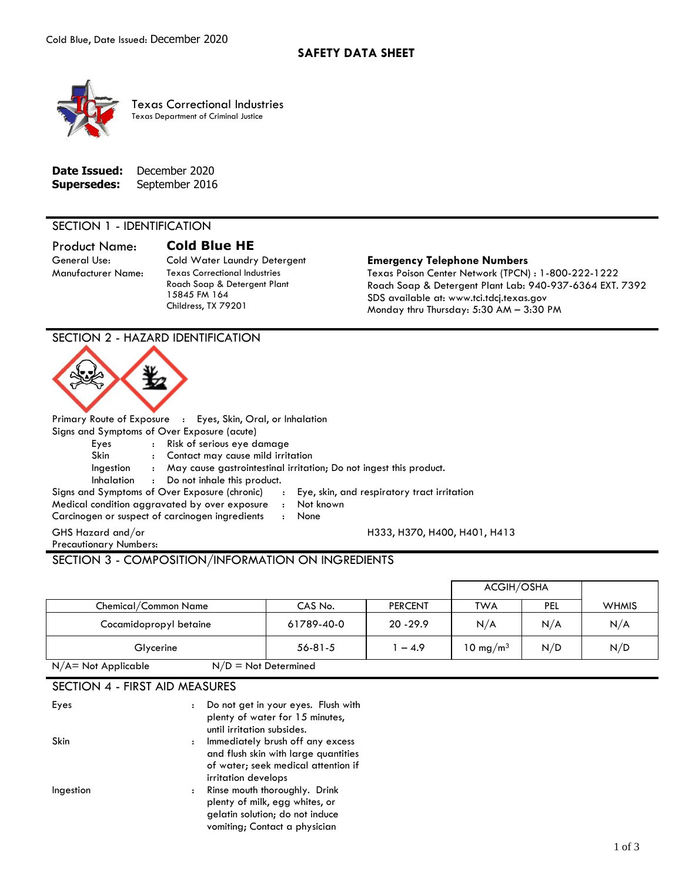

Texas Correctional Industries Texas Department of Criminal Justice

| Date Issued:       | December 2020  |
|--------------------|----------------|
| <b>Supersedes:</b> | September 2016 |

### SECTION 1 - IDENTIFICATION

# Product Name: **Cold Blue HE**

Manufacturer Name: Texas Correctional Industries Roach Soap & Detergent Plant 15845 FM 164 Childress, TX 79201

#### General Use: Cold Water Laundry Detergent **Emergency Telephone Numbers**

H333, H370, H400, H401, H413

Texas Poison Center Network (TPCN) : 1-800-222-1222 Roach Soap & Detergent Plant Lab: 940-937-6364 EXT. 7392 SDS available at: www.tci.tdcj.texas.gov Monday thru Thursday: 5:30 AM – 3:30 PM

## SECTION 2 - HAZARD IDENTIFICATION



Primary Route of Exposure : Eyes, Skin, Oral, or Inhalation Signs and Symptoms of Over Exposure (acute)

Eyes : Risk of serious eye damage

Skin : Contact may cause mild irritation

Ingestion : May cause gastrointestinal irritation; Do not ingest this product.

Inhalation : Do not inhale this product.

- Signs and Symptoms of Over Exposure (chronic) : Eye, skin, and respiratory tract irritation Medical condition aggravated by over exposure : Not known
- Carcinogen or suspect of carcinogen ingredients : None
- 

GHS Hazard and/or Precautionary Numbers:

## SECTION 3 - COMPOSITION/INFORMATION ON INGREDIENTS

|                                                  |               |                | ACGIH/OSHA           |     |              |
|--------------------------------------------------|---------------|----------------|----------------------|-----|--------------|
| Chemical/Common Name                             | CAS No.       | <b>PERCENT</b> | TWA                  | PEL | <b>WHMIS</b> |
| Cocamidopropyl betaine                           | 61789-40-0    | $20 - 29.9$    | N/A                  | N/A | N/A          |
| Glycerine                                        | $56 - 81 - 5$ | $-4.9$         | 10 mg/m <sup>3</sup> | N/D | N/D          |
| $N/D = Not$ Determined<br>$N/A$ = Not Applicable |               |                |                      |     |              |

## SECTION 4 - FIRST AID MEASURES

| Eyes      | $\ddot{\cdot}$ | Do not get in your eyes. Flush with<br>plenty of water for 15 minutes,<br>until irritation subsides.                                     |
|-----------|----------------|------------------------------------------------------------------------------------------------------------------------------------------|
| Skin      |                | : Immediately brush off any excess<br>and flush skin with large quantities<br>of water; seek medical attention if<br>irritation develops |
| Ingestion | $\ddot{\cdot}$ | Rinse mouth thoroughly. Drink<br>plenty of milk, egg whites, or<br>gelatin solution; do not induce<br>vomiting; Contact a physician      |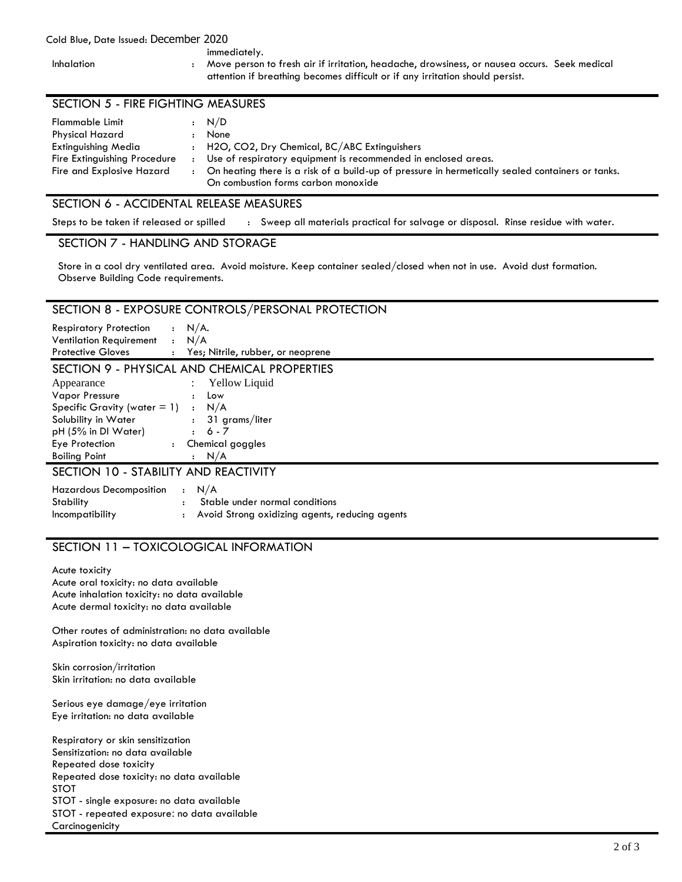## Cold Blue, Date Issued: December 2020

immediately.

Inhalation : Move person to fresh air if irritation, headache, drowsiness, or nausea occurs. Seek medical attention if breathing becomes difficult or if any irritation should persist.

| Flammable Limit<br>Physical Hazard                                               | : N/D<br>None                                                                                                                                                                                                                                               |
|----------------------------------------------------------------------------------|-------------------------------------------------------------------------------------------------------------------------------------------------------------------------------------------------------------------------------------------------------------|
| Extinguishing Media<br>Fire Extinguishing Procedure<br>Fire and Explosive Hazard | : H2O, CO2, Dry Chemical, BC/ABC Extinguishers<br>Use of respiratory equipment is recommended in enclosed areas.<br>On heating there is a risk of a build-up of pressure in hermetically sealed containers or tanks.<br>On combustion forms carbon monoxide |

## SECTION 6 - ACCIDENTAL RELEASE MEASURES

Steps to be taken if released or spilled : Sweep all materials practical for salvage or disposal. Rinse residue with water.

### SECTION 7 - HANDLING AND STORAGE

Store in a cool dry ventilated area. Avoid moisture. Keep container sealed/closed when not in use. Avoid dust formation. Observe Building Code requirements.

## SECTION 8 - EXPOSURE CONTROLS/PERSONAL PROTECTION

| <b>Respiratory Protection</b>   | : N/A.                              |
|---------------------------------|-------------------------------------|
| Ventilation Requirement : $N/A$ |                                     |
| <b>Protective Gloves</b>        | : Yes; Nitrile, rubber, or neoprene |

## SECTION 9 - PHYSICAL AND CHEMICAL PROPERTIES

| Appearance                      |                      | : Yellow Liquid  |
|---------------------------------|----------------------|------------------|
| <b>Vapor Pressure</b>           | $\ddot{\phantom{a}}$ | Low              |
| Specific Gravity (water $= 1$ ) |                      | : N/A            |
| Solubility in Water             |                      | : 31 grams/liter |
| pH (5% in DI Water)             |                      | $6 - 7$          |
| Eye Protection                  | $\ddot{\phantom{0}}$ | Chemical goggles |
| <b>Boiling Point</b>            |                      | N/A              |
|                                 |                      |                  |

# SECTION 10 - STABILITY AND REACTIVITY

| Hazardous Decomposition $\cdot$ N/A |                                                  |
|-------------------------------------|--------------------------------------------------|
| Stability                           | Stable under normal conditions                   |
| <i>Incompatibility</i>              | : Avoid Strong oxidizing agents, reducing agents |

# SECTION 11 – TOXICOLOGICAL INFORMATION

Acute toxicity Acute oral toxicity: no data available Acute inhalation toxicity: no data available Acute dermal toxicity: no data available

Other routes of administration: no data available Aspiration toxicity: no data available

Skin corrosion/irritation Skin irritation: no data available

Serious eye damage/eye irritation Eye irritation: no data available

Respiratory or skin sensitization Sensitization: no data available Repeated dose toxicity Repeated dose toxicity: no data available STOT STOT - single exposure: no data available STOT - repeated exposure: no data available **Carcinogenicity**